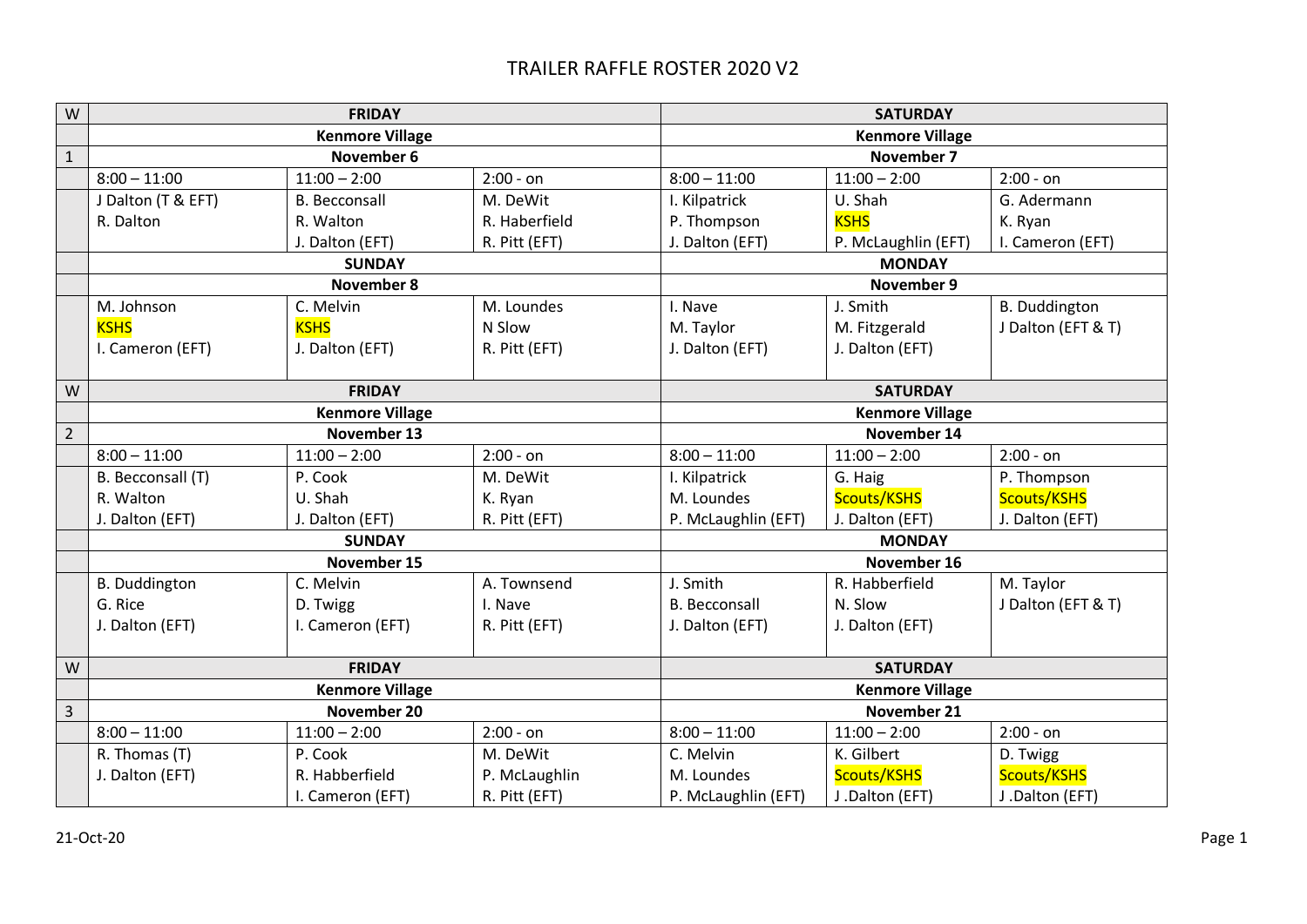## TRAILER RAFFLE ROSTER 2020 V2

| W              | <b>FRIDAY</b>          |                      |               | <b>SATURDAY</b>        |                     |                      |
|----------------|------------------------|----------------------|---------------|------------------------|---------------------|----------------------|
|                | <b>Kenmore Village</b> |                      |               | <b>Kenmore Village</b> |                     |                      |
| $\mathbf{1}$   | November 6             |                      |               | November 7             |                     |                      |
|                | $8:00 - 11:00$         | $11:00 - 2:00$       | $2:00 - on$   | $8:00 - 11:00$         | $11:00 - 2:00$      | $2:00 - on$          |
|                | J Dalton (T & EFT)     | <b>B.</b> Becconsall | M. DeWit      | I. Kilpatrick          | U. Shah             | G. Adermann          |
|                | R. Dalton              | R. Walton            | R. Haberfield | P. Thompson            | <b>KSHS</b>         | K. Ryan              |
|                |                        | J. Dalton (EFT)      | R. Pitt (EFT) | J. Dalton (EFT)        | P. McLaughlin (EFT) | I. Cameron (EFT)     |
|                |                        | <b>SUNDAY</b>        |               | <b>MONDAY</b>          |                     |                      |
|                | November 8             |                      |               | November 9             |                     |                      |
|                | M. Johnson             | C. Melvin            | M. Loundes    | I. Nave                | J. Smith            | <b>B.</b> Duddington |
|                | <b>KSHS</b>            | <b>KSHS</b>          | N Slow        | M. Taylor              | M. Fitzgerald       | J Dalton (EFT & T)   |
|                | I. Cameron (EFT)       | J. Dalton (EFT)      | R. Pitt (EFT) | J. Dalton (EFT)        | J. Dalton (EFT)     |                      |
|                |                        |                      |               |                        |                     |                      |
| W              | <b>FRIDAY</b>          |                      |               | <b>SATURDAY</b>        |                     |                      |
|                | <b>Kenmore Village</b> |                      |               | <b>Kenmore Village</b> |                     |                      |
| $\overline{2}$ |                        | November 13          |               | November 14            |                     |                      |
|                | $8:00 - 11:00$         | $11:00 - 2:00$       | $2:00 - on$   | $8:00 - 11:00$         | $11:00 - 2:00$      | $2:00 - on$          |
|                | B. Becconsall (T)      | P. Cook              | M. DeWit      | I. Kilpatrick          | G. Haig             | P. Thompson          |
|                | R. Walton              | U. Shah              | K. Ryan       | M. Loundes             | Scouts/KSHS         | Scouts/KSHS          |
|                | J. Dalton (EFT)        | J. Dalton (EFT)      | R. Pitt (EFT) | P. McLaughlin (EFT)    | J. Dalton (EFT)     | J. Dalton (EFT)      |
|                | <b>SUNDAY</b>          |                      |               | <b>MONDAY</b>          |                     |                      |
|                | November 15            |                      |               | November 16            |                     |                      |
|                | <b>B.</b> Duddington   | C. Melvin            | A. Townsend   | J. Smith               | R. Habberfield      | M. Taylor            |
|                | G. Rice                | D. Twigg             | I. Nave       | <b>B.</b> Becconsall   | N. Slow             | J Dalton (EFT & T)   |
|                | J. Dalton (EFT)        | I. Cameron (EFT)     | R. Pitt (EFT) | J. Dalton (EFT)        | J. Dalton (EFT)     |                      |
|                |                        |                      |               |                        |                     |                      |
| W              | <b>FRIDAY</b>          |                      |               | <b>SATURDAY</b>        |                     |                      |
|                | <b>Kenmore Village</b> |                      |               | <b>Kenmore Village</b> |                     |                      |
| $\overline{3}$ | November 20            |                      |               | November 21            |                     |                      |
|                | $8:00 - 11:00$         | $11:00 - 2:00$       | $2:00 - on$   | $8:00 - 11:00$         | $11:00 - 2:00$      | $2:00 - on$          |
|                | R. Thomas (T)          | P. Cook              | M. DeWit      | C. Melvin              | K. Gilbert          | D. Twigg             |
|                | J. Dalton (EFT)        | R. Habberfield       | P. McLaughlin | M. Loundes             | Scouts/KSHS         | Scouts/KSHS          |
|                |                        | I. Cameron (EFT)     | R. Pitt (EFT) | P. McLaughlin (EFT)    | J.Dalton (EFT)      | J.Dalton (EFT)       |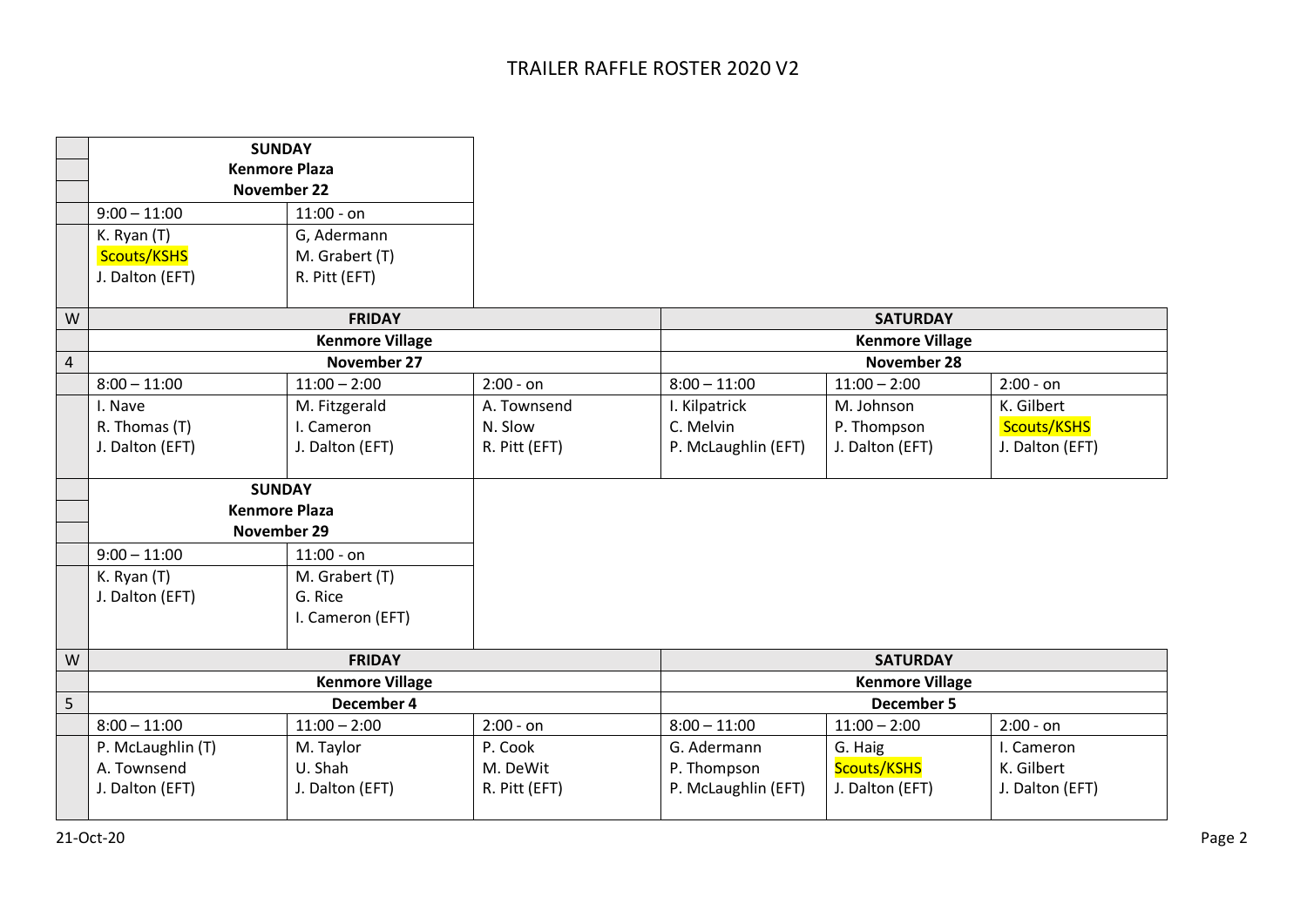|                | <b>SUNDAY</b>          |                        |               |                        |                 |                 |  |
|----------------|------------------------|------------------------|---------------|------------------------|-----------------|-----------------|--|
|                | <b>Kenmore Plaza</b>   |                        |               |                        |                 |                 |  |
|                | November 22            |                        |               |                        |                 |                 |  |
|                | $9:00 - 11:00$         | $11:00 - on$           |               |                        |                 |                 |  |
|                | K. Ryan (T)            | G, Adermann            |               |                        |                 |                 |  |
|                | Scouts/KSHS            | M. Grabert (T)         |               |                        |                 |                 |  |
|                | J. Dalton (EFT)        | R. Pitt (EFT)          |               |                        |                 |                 |  |
|                |                        |                        |               |                        |                 |                 |  |
| W              |                        | <b>FRIDAY</b>          |               | <b>SATURDAY</b>        |                 |                 |  |
|                | <b>Kenmore Village</b> |                        |               | <b>Kenmore Village</b> |                 |                 |  |
| $\overline{4}$ | November 27            |                        |               |                        | November 28     |                 |  |
|                | $8:00 - 11:00$         | $11:00 - 2:00$         | $2:00 - on$   | $8:00 - 11:00$         | $11:00 - 2:00$  | $2:00 - on$     |  |
|                | I. Nave                | M. Fitzgerald          | A. Townsend   | I. Kilpatrick          | M. Johnson      | K. Gilbert      |  |
|                | R. Thomas (T)          | I. Cameron             | N. Slow       | C. Melvin              | P. Thompson     | Scouts/KSHS     |  |
|                | J. Dalton (EFT)        | J. Dalton (EFT)        | R. Pitt (EFT) | P. McLaughlin (EFT)    | J. Dalton (EFT) | J. Dalton (EFT) |  |
|                | <b>SUNDAY</b>          |                        |               |                        |                 |                 |  |
|                | <b>Kenmore Plaza</b>   |                        |               |                        |                 |                 |  |
|                | November 29            |                        |               |                        |                 |                 |  |
|                | $9:00 - 11:00$         | $11:00 - on$           |               |                        |                 |                 |  |
|                | K. Ryan (T)            | M. Grabert (T)         |               |                        |                 |                 |  |
|                | J. Dalton (EFT)        | G. Rice                |               |                        |                 |                 |  |
|                |                        | I. Cameron (EFT)       |               |                        |                 |                 |  |
| W              |                        | <b>FRIDAY</b>          |               | <b>SATURDAY</b>        |                 |                 |  |
|                |                        | <b>Kenmore Village</b> |               | <b>Kenmore Village</b> |                 |                 |  |
| 5              |                        | December 4             |               | <b>December 5</b>      |                 |                 |  |
|                | $8:00 - 11:00$         | $11:00 - 2:00$         | $2:00 - on$   | $8:00 - 11:00$         | $11:00 - 2:00$  | $2:00 - on$     |  |
|                | P. McLaughlin (T)      | M. Taylor              | P. Cook       | G. Adermann            | G. Haig         | I. Cameron      |  |
|                | A. Townsend            | U. Shah                | M. DeWit      | P. Thompson            | Scouts/KSHS     | K. Gilbert      |  |
|                | J. Dalton (EFT)        | J. Dalton (EFT)        | R. Pitt (EFT) | P. McLaughlin (EFT)    | J. Dalton (EFT) | J. Dalton (EFT) |  |
|                |                        |                        |               |                        |                 |                 |  |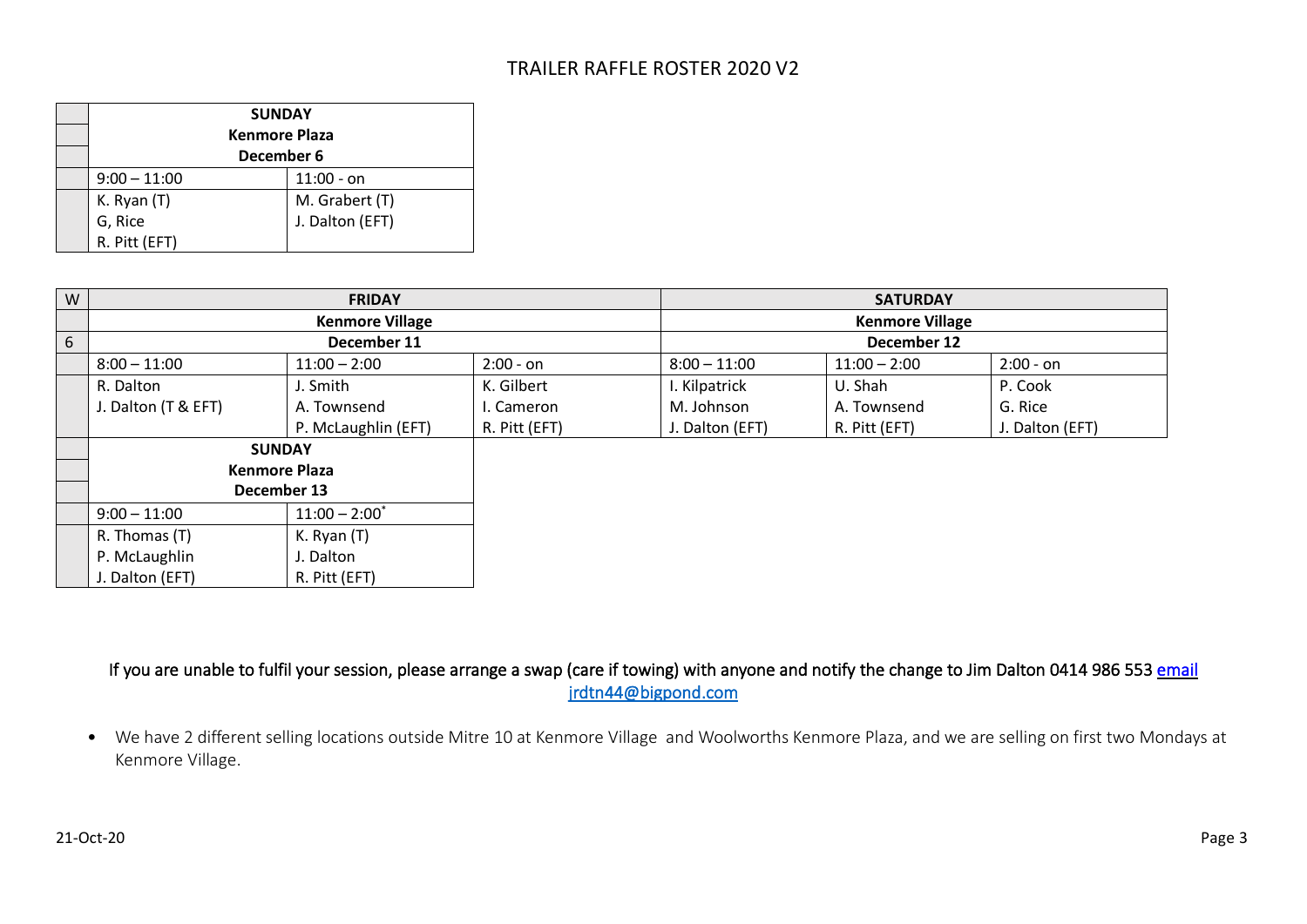## TRAILER RAFFLE ROSTER 2020 V2

| <b>SUNDAY</b><br><b>Kenmore Plaza</b><br>December 6 |                 |  |  |
|-----------------------------------------------------|-----------------|--|--|
| $9:00 - 11:00$                                      | $11:00 - on$    |  |  |
| K. Ryan (T)                                         | M. Grabert (T)  |  |  |
| G, Rice                                             | J. Dalton (EFT) |  |  |
| R. Pitt (EFT)                                       |                 |  |  |

| W | <b>FRIDAY</b>        |                        |               |                 | <b>SATURDAY</b>        |                 |  |  |
|---|----------------------|------------------------|---------------|-----------------|------------------------|-----------------|--|--|
|   |                      | <b>Kenmore Village</b> |               |                 | <b>Kenmore Village</b> |                 |  |  |
| 6 |                      | December 11            |               |                 | December 12            |                 |  |  |
|   | $8:00 - 11:00$       | $11:00 - 2:00$         | $2:00 - on$   | $8:00 - 11:00$  | $11:00 - 2:00$         | $2:00 - on$     |  |  |
|   | R. Dalton            | J. Smith               | K. Gilbert    | I. Kilpatrick   | U. Shah                | P. Cook         |  |  |
|   | J. Dalton (T & EFT)  | A. Townsend            | I. Cameron    | M. Johnson      | A. Townsend            | G. Rice         |  |  |
|   |                      | P. McLaughlin (EFT)    | R. Pitt (EFT) | J. Dalton (EFT) | R. Pitt (EFT)          | J. Dalton (EFT) |  |  |
|   | <b>SUNDAY</b>        |                        |               |                 |                        |                 |  |  |
|   | <b>Kenmore Plaza</b> |                        |               |                 |                        |                 |  |  |
|   | December 13          |                        |               |                 |                        |                 |  |  |
|   | $9:00 - 11:00$       | $11:00 - 2:00^*$       |               |                 |                        |                 |  |  |
|   | R. Thomas (T)        | K. Ryan (T)            |               |                 |                        |                 |  |  |
|   | P. McLaughlin        | I. Dalton              |               |                 |                        |                 |  |  |
|   | J. Dalton (EFT)      | R. Pitt (EFT)          |               |                 |                        |                 |  |  |

If you are unable to fulfil your session, please arrange a swap (care if towing) with anyone and notify the change to Jim Dalton 0414 986 553 email [jrdtn44@bigpond.com](mailto:jrdtn44@bigpond.com) 

• We have 2 different selling locations outside Mitre 10 at Kenmore Village and Woolworths Kenmore Plaza, and we are selling on first two Mondays at Kenmore Village.